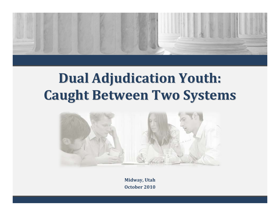

# **Dual Adjudication Adjudication Youth: Caught Between Two Systems**



**Midway, Utah October 2010**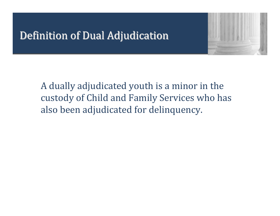### Definition of Dual Adjudication



#### A dually adjudicated youth is a minor in the custody of Child and Family Services who has also been adjudicated for delinquency.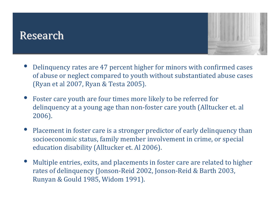#### Research



- • Delinquency rates are 47 percent higher for minors with confirmed cases of abuse or neglect compared to youth without substantiated abuse cases (Ryan et al 2007, Ryan & Testa 2005).
- • Foster care youth are four times more likely to be referred for delinquency at a young age than non‐foster care youth (Alltucker et. al 2006).
- • Placement in foster care is a stronger predictor of early delinquency than socioeconomic status, family member involvement in crime, or special education disability (Alltucker et. Al 2006).
- $\bullet$  Multiple entries, exits, and placements in foster care are related to higher rates of delinquency (Jonson‐Reid 2002, Jonson‐Reid & Barth 2003, Runyan & Gould 1985, Widom 1991).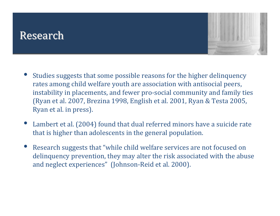#### Research



- • Studies suggests that some possible reasons for the higher delinquency rates among child welfare youth are association with antisocial peers, instability in placements, and fewer pro‐social community and family ties (Ryan et al. 2007, Brezina 1998, English et al. 2001, Ryan & Testa 2005, Ryan et al. in press).
- • Lambert et al. (2004) found that dual referred minors have a suicide rate that is higher than adolescents in the general population.
- $\bullet$  Research suggests that "while child welfare services are not focused on delinquency prevention, they may alter the risk associated with the abuse and neglect experiences" (Johnson‐Reid et al. 2000).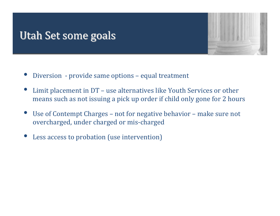#### Utah Set some goals



- •Diversion - provide same options - equal treatment
- • Limit placement in DT – use alternatives like Youth Services or other means such as not issuing a pick up order if child only gone fo r 2 hours
- • Use of Contempt Charges – not for negative behavior – make sure not overcharged, under charge d or mis‐charged
- $\bullet$ Less access to probation (use intervention)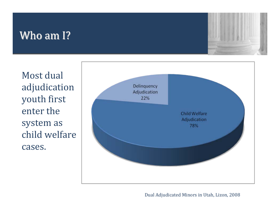## Who am I?



Most dual adjudication youth first enter the system as child welfare cases.



Dual Adjudicated Minors in Utah, Lizon, 2008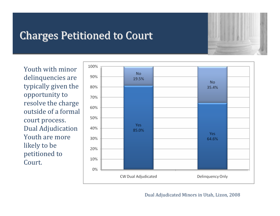## **Charges Petitioned to Court**



Youth with minor delinquencies are typically given the opportunity to resolve the charge outside of a formal court process. Dual Adjudication Youth are more li k ely to b e petitioned to Court.



#### Dual Adjudicated Minors in Utah, Lizon, 2008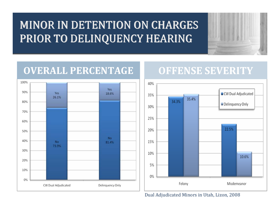## MINOR IN DETENTION ON CHARGES PRIOR TO DELINQUENCY HEARING



#### **OVERALL PERCENTAGE**



#### **OFFENSE SEVERITY**



Dual Adjudicated Minors in Utah, Lizon, 2008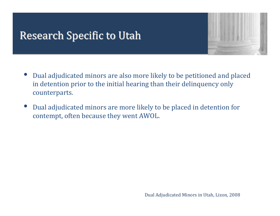### **Research Specific to Utah**



- • Dual adjudicated minors are also more likely to be petitioned and placed in detention prior to the initial hearing than their delinquen cy o nly counterparts.
- • Dual adjudicated minors are more likely to be placed in detention for contempt, often because they went AWOL.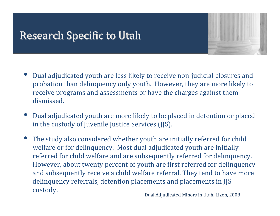### **Research Specific to Utah**



- • Dual adjudicated youth are less likely to receive non‐judicial closures and probation than delinquency only youth. However, they are more lik ely to receive programs and assessments or have the charges against them dismissed.
- • $\bullet$  Dual adjudicated youth are more likely to be placed in detention or placed in the custody of Juvenile Justice Services (JJS).
- • The study also considered whether youth are initially referred for child welfare or for delinquency. Most dual adjudicated youth are initially referred for child welfare and are subsequently referred for deli n quency. However, about twenty percent of youth are first referred for delinquency and subsequently receive a child welfare referral. They tend to have more delinquency referrals, detention placements and placements in JJS custody.

dicated Minors in Utah, Lizon, 2008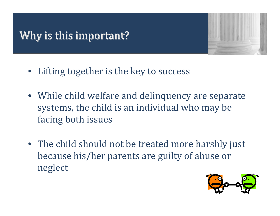## Why is this important?



- Lifting together is the key to success
- While child welfare and delinquency are separate systems, the child is an individual who may be facing both issues
- The child should not be treated more harshly just because his/her parents are guilty of abuse or neglect

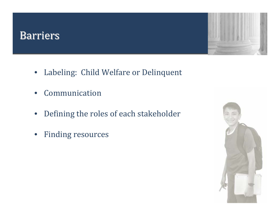#### Barriers



- Labeling: Child Welfare or Delinquent
- •Communication
- $\bullet$ Defining the roles of each stakeholder
- $\bullet$ Finding resources

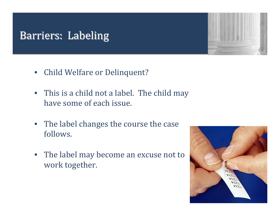## **Barriers: Labeling**

- Child Welfare or Delinquent?
- This is a child not a label. The child may have some of each issue.
- The label changes the course the case follows.
- The label may become an excuse not to work together.



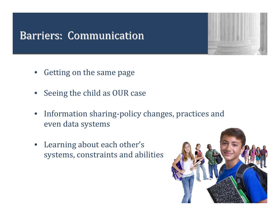#### **Barriers: Communication**

- •Getting on the same page
- •Seeing the child as OUR case
- •• Information sharing-policy changes, practices and even data systems
- Learning about each other's systems, constraints and abilities

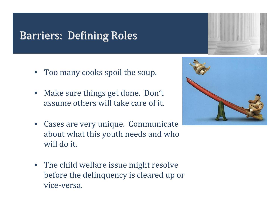## Barriers: Defining Roles

- Too many cooks spoil the soup.
- • Make sure things get done. Don't assume others will take care of it.
- Cases are very unique. Communicate about what this youth needs and who will do it.
- The child welfare issue might resolve before the delinquency is cleared up or vice‐versa.



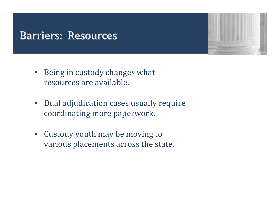#### Barriers: Resources

- Being in custody changes what resources are available.
- Dual adjudication cases usually require coordinating more paperwork.
- Custody youth may be moving to various placements across the state.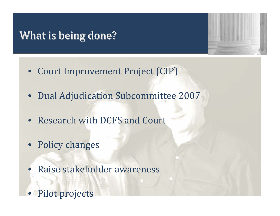### What is being done?



- Court Improvement Project (CIP)
- Dual Adjudication Subcommittee 2007
- Research with DCFS and Court
- Policy changes
- $\bullet$ Raise stakeholder awareness
- •Pilot projects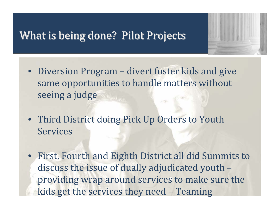#### What is being done? Pilot Projects



- Diversion Program divert foster kids and give same opportunities to handle matters without seeing a judge
- Third District doing Pick Up Orders to Youth Services
- First, Fourth and Eighth District all did Summits to discuss the issue of dually adjudicated youth – providing wrap around services to make sure the kids get the services they need – Teaming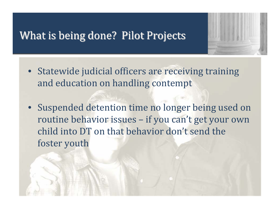#### What is being done? Pilot Projects



- Statewide judicial officers are receiving training and education on handling contempt
- Suspended detention time no longer being used on routine behavior issues – if you can't get your own child into DT on that behavior don't send the foster youth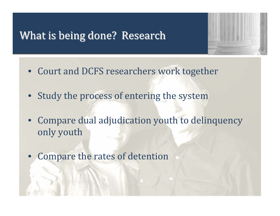#### What is being done? Research



- Court and DCFS researchers work together
- Study the process of entering the system
- Compare dual adjudication youth to delinquency only youth
- $\bullet$ Compare the rates of detention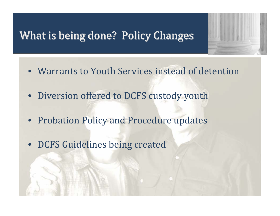#### What is being done? Policy Changes

- 
- Warrants to Youth Services instead of detention
- Diversion offered to DCFS custody youth
- Probation Policy and Procedure updates
- DCFS Guidelines being created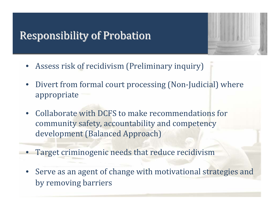#### **Responsibility of Probation**



- •Assess risk of recidivism (Preliminary inquiry)
- $\bullet$ Divert from formal court processing (Non-Judicial) where appropriate
- • Collaborate with DCFS to make recommendations for community safety, accountability and competency development (Balanced Approach)
- •**• Target criminogenic needs that reduce recidivism**
- • Serve as an agent of change with motivational strategies and by removing barriers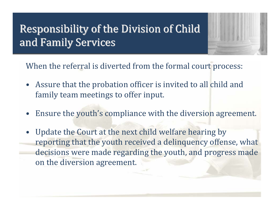## Responsibility of the Division of Child Responsibility of the Division of Child and Family Services



When the referral is diverted from the formal court process:

- Assure that the probation officer is invited to all child and family team meetings to offer input.
- •Ensure the youth's compliance with the diversion agreement.
- •Update the Court at the next child welfare hearing by reporting that the youth received a delinquency offense, what decisions were made regarding the youth, and progress made on the diversion agreement.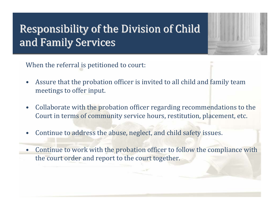## Responsibility of the Division of Child Responsibility of the Division of Child and Family Services



When the referral is petitioned to court:

- •Assure that the probation officer is invited to all child and family team meetings to offer input.
- •Collaborate with the probation officer regarding recommendations to the Court in terms of community service hours, restitution, placement, etc.
- •Continue to address the abuse, neglect, and child safety issues.
- •Continue to work with the probation officer to follow the compliance with the court order and report to the court together.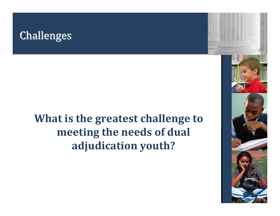#### **Challenges**

## **What is the greatest challenge to meeting the needs of dual adjudication youth?**

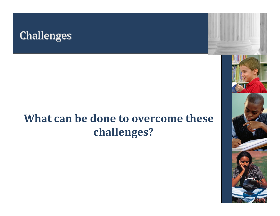

## **What can be done to overcome these challenges?**